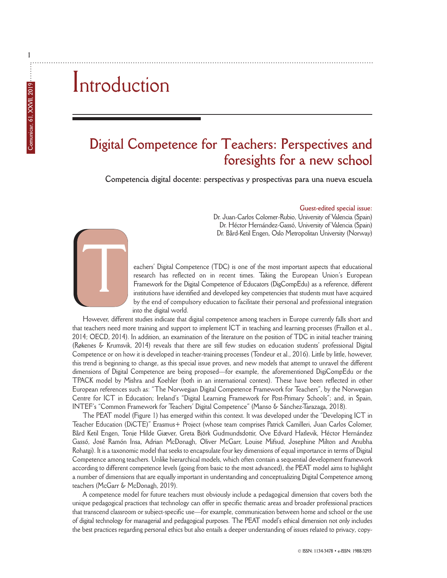# Introduction

### **Digital Competence for Teachers: Perspectives and foresights for a new school**

**Competencia digital docente: perspectivas y prospectivas para una nueva escuela**

### **Guest-edited special issue:**

Dr. Juan-Carlos Colomer-Rubio, University of Valencia (Spain) Dr. Héctor Hernández-Gassó, University of Valencia (Spain) Dr. Bård-Ketil Engen, Oslo Metropolitan University (Norway)

eachers' Digital Competence (TDC) is one of the most important aspects that educational research has reflected on in recent times. Taking the European Union's European Framework for the Digital Competence of Educators (DigCompEdu) as a reference, different institutions have identified and developed key competencies that students must have acquired by the end of compulsory education to facilitate their personal and professional integration into the digital world.

However, different studies indicate that digital competence among teachers in Europe currently falls short and that teachers need more training and support to implement ICT in teaching and learning processes (Fraillon et al., 2014; OECD, 2014). In addition, an examination of the literature on the position of TDC in initial teacher training (Røkenes & Krumsvik, 2014) reveals that there are still few studies on education students' professional Digital Competence or on how it is developed in teacher-training processes (Tondeur et al., 2016). Little by little, however, this trend is beginning to change, as this special issue proves, and new models that attempt to unravel the different dimensions of Digital Competence are being proposed—for example, the aforementioned DigiCompEdu or the TPACK model by Mishra and Koehler (both in an international context). These have been reflected in other European references such as: "The Norwegian Digital Competence Framework for Teachers", by the Norwegian Centre for ICT in Education; Ireland's "Digital Learning Framework for Post-Primary Schools"; and, in Spain, INTEF's "Common Framework for Teachers' Digital Competence" (Manso & Sánchez-Tarazaga, 2018).

The PEAT model (Figure 1) has emerged within this context. It was developed under the "Developing ICT in Teacher Education (DiCTE)" Erasmus+ Project (whose team comprises Patrick Camilleri, Juan Carlos Colomer, Bård Ketil Engen, Tonje Hilde Giæver, Greta Björk Gudmundsdottir, Ove Edvard Hatlevik, Héctor Hernández Gassó, José Ramón Insa, Adrian McDonagh, Oliver McGarr, Louise Mifsud, Josephine Milton and Anubha Rohatgi). It is a taxonomic model that seeks to encapsulate four key dimensions of equal importance in terms of Digital Competence among teachers. Unlike hierarchical models, which often contain a sequential development framework according to different competence levels (going from basic to the most advanced), the PEAT model aims to highlight a number of dimensions that are equally important in understanding and conceptualizing Digital Competence among teachers (McGarr & McDonagh, 2019).

A competence model for future teachers must obviously include a pedagogical dimension that covers both the unique pedagogical practices that technology can offer in specific thematic areas and broader professional practices that transcend classroom or subject-specific use—for example, communication between home and school or the use of digital technology for managerial and pedagogical purposes. The PEAT model's ethical dimension not only includes the best practices regarding personal ethics but also entails a deeper understanding of issues related to privacy, copy-



**1**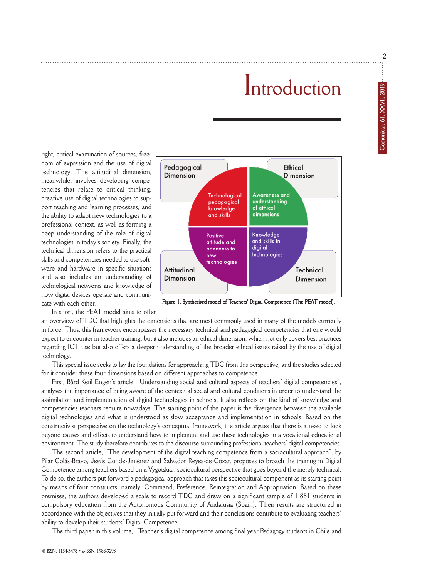**2**

## Introduction

right, critical examination of sources, freedom of expression and the use of digital technology. The attitudinal dimension, meanwhile, involves developing competencies that relate to critical thinking, creative use of digital technologies to support teaching and learning processes, and the ability to adapt new technologies to a professional context, as well as forming a deep understanding of the role of digital technologies in today's society. Finally, the technical dimension refers to the practical skills and competencies needed to use software and hardware in specific situations and also includes an understanding of technological networks and knowledge of how digital devices operate and communicate with each other.



Figure 1. Synthesised model of Teachers' Digital Competence (The PEAT model).

In short, the PEAT model aims to offer

an overview of TDC that highlights the dimensions that are most commonly used in many of the models currently in force. Thus, this framework encompasses the necessary technical and pedagogical competencies that one would expect to encounter in teacher training, but it also includes an ethical dimension, which not only covers best practices regarding ICT use but also offers a deeper understanding of the broader ethical issues raised by the use of digital technology.

This special issue seeks to lay the foundations for approaching TDC from this perspective, and the studies selected for it consider these four dimensions based on different approaches to competence.

First, Bård Ketil Engen's article, "Understanding social and cultural aspects of teachers' digital competencies", analyses the importance of being aware of the contextual social and cultural conditions in order to understand the assimilation and implementation of digital technologies in schools. It also reflects on the kind of knowledge and competencies teachers require nowadays. The starting point of the paper is the divergence between the available digital technologies and what is understood as slow acceptance and implementation in schools. Based on the constructivist perspective on the technology's conceptual framework, the article argues that there is a need to look beyond causes and effects to understand how to implement and use these technologies in a vocational educational environment. The study therefore contributes to the discourse surrounding professional teachers' digital competencies.

The second article, "The development of the digital teaching competence from a sociocultural approach", by Pilar Colás-Bravo, Jesús Conde-Jiménez and Salvador Reyes-de-Cózar, proposes to broach the training in Digital Competence among teachers based on a Vygotskian sociocultural perspective that goes beyond the merely technical. To do so, the authors put forward a pedagogical approach that takes this sociocultural component as its starting point by means of four constructs, namely, Command, Preference, Reintegration and Appropriation. Based on these premises, the authors developed a scale to record TDC and drew on a significant sample of 1,881 students in compulsory education from the Autonomous Community of Andalusia (Spain). Their results are structured in accordance with the objectives that they initially put forward and their conclusions contribute to evaluating teachers' ability to develop their students' Digital Competence.

The third paper in this volume, "Teacher's digital competence among final year Pedagogy students in Chile and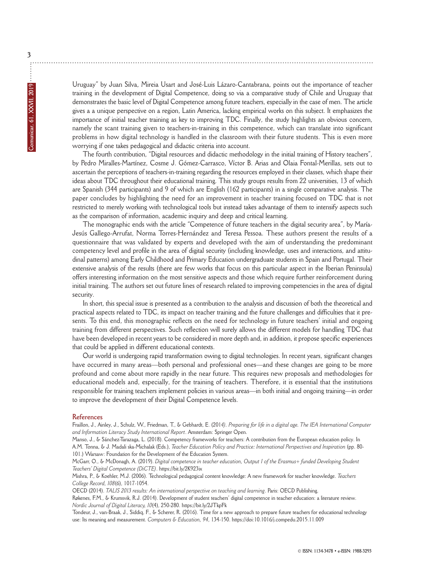Uruguay" by Juan Silva, Mireia Usart and José-Luis Lázaro-Cantabrana, points out the importance of teacher training in the development of Digital Competence, doing so via a comparative study of Chile and Uruguay that demonstrates the basic level of Digital Competence among future teachers, especially in the case of men. The article gives a a unique perspective on a region, Latin America, lacking empirical works on this subject. It emphasizes the importance of initial teacher training as key to improving TDC. Finally, the study highlights an obvious concern, namely the scant training given to teachers-in-training in this competence, which can translate into significant problems in how digital technology is handled in the classroom with their future students. This is even more worrying if one takes pedagogical and didactic criteria into account.

The fourth contribution, "Digital resources and didactic methodology in the initial training of History teachers", by Pedro Miralles-Martínez, Cosme J. Gómez-Carrasco, Víctor B. Arias and Olaia Fontal-Merillas, sets out to ascertain the perceptions of teachers-in-training regarding the resources employed in their classes, which shape their ideas about TDC throughout their educational training. This study groups results from 22 universities, 13 of which are Spanish (344 participants) and 9 of which are English (162 participants) in a single comparative analysis. The paper concludes by highlighting the need for an improvement in teacher training focused on TDC that is not restricted to merely working with technological tools but instead takes advantage of them to intensify aspects such as the comparison of information, academic inquiry and deep and critical learning.

The monographic ends with the article "Competence of future teachers in the digital security area", by María-Jesús Gallego-Arrufat, Norma Torres-Hernández and Teresa Pessoa. These authors present the results of a questionnaire that was validated by experts and developed with the aim of understanding the predominant competency level and profile in the area of digital security (including knowledge, uses and interactions, and attitudinal patterns) among Early Childhood and Primary Education undergraduate students in Spain and Portugal. Their extensive analysis of the results (there are few works that focus on this particular aspect in the Iberian Peninsula) offers interesting information on the most sensitive aspects and those which require further reinforcement during initial training. The authors set out future lines of research related to improving competencies in the area of digital security.

In short, this special issue is presented as a contribution to the analysis and discussion of both the theoretical and practical aspects related to TDC, its impact on teacher training and the future challenges and difficulties that it presents. To this end, this monographic reflects on the need for technology in future teachers' initial and ongoing training from different perspectives. Such reflection will surely allows the different models for handling TDC that have been developed in recent years to be considered in more depth and, in addition, it propose specific experiences that could be applied in different educational contexts.

Our world is undergoing rapid transformation owing to digital technologies. In recent years, significant changes have occurred in many areas—both personal and professional ones—and these changes are going to be more profound and come about more rapidly in the near future. This requires new proposals and methodologies for educational models and, especially, for the training of teachers. Therefore, it is essential that the institutions responsible for training teachers implement policies in various areas—in both initial and ongoing training—in order to improve the development of their Digital Competence levels.

#### **References**

Fraillon, J., Ainley, J., Schulz, W., Friedman, T., & Gebhardt, E. (201*4). Preparing for life in a digital age. The IEA International Computer and Information Literacy Study International Report*. Amsterdam: Springer Open.

Manso, J., & Sánchez-Tarazaga, L. (2018). Competency frameworks for teachers: A contribution from the European education policy. In A.M. Tonna, & J. Madali ska-Michalak (Eds.), *Teacher Education Policy and Practice: International Perspectives and Inspiration* (pp. 80- 101.) Warsaw: Foundation for the Development of the Education System.

McGarr, O., & McDonagh, A. (2019). *Digital competence in teacher education, Output 1 of the Erasmus+ funded Developing Student Teachers' Digital Competence (DiCTE)*. https://bit.ly/2K923ix

Mishra, P., & Koehler, M.J. (2006). Technological pedagogical content knowledge: A new framework for teacher knowledge. *Teachers College Record, 108*(6), 1017-1054.

OECD (2014). *TALIS 2013 results: An international perspective on teaching and learning*. Paris: OECD Publishing.

Røkenes, F.M., & Krumsvik, R.J. (2014). Development of student teachers' digital competence in teacher education: a literature review. *Nordic Journal of Digital Literacy, 10*(4), 250-280. https://bit.ly/2JTkpFk

Tondeur, J., van-Braak, J., Siddiq, F., & Scherer, R. (2016). Time for a new approach to prepare future teachers for educational technology use: Its meaning and measurement. *Computers & Education, 94*, 134-150. https://doi:10.1016/j.compedu.2015.11.009

**3**